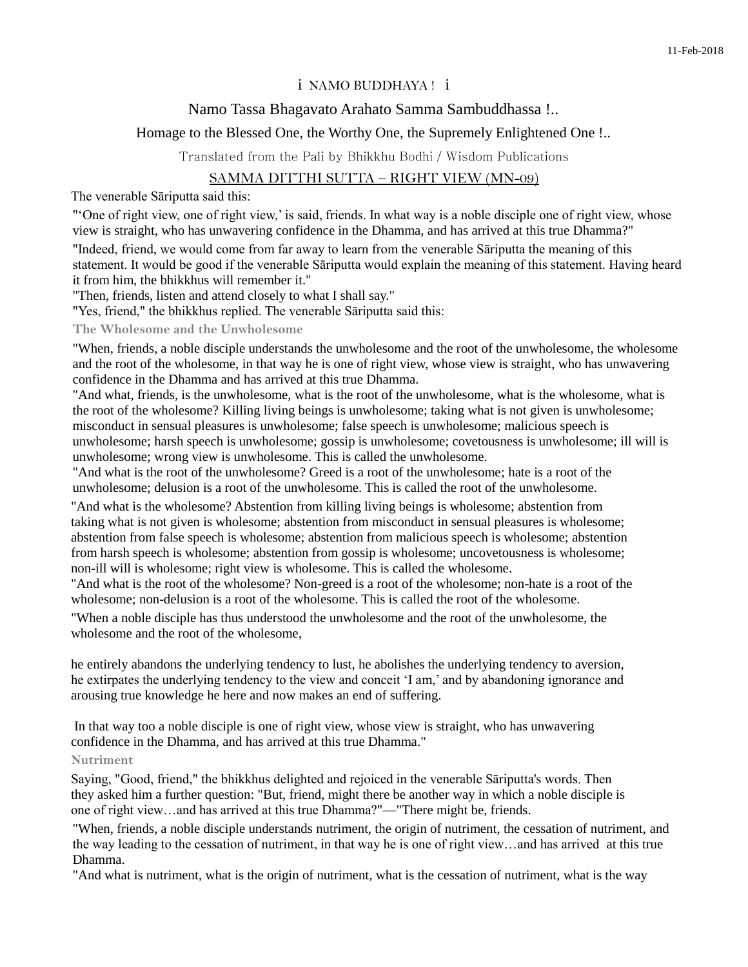# i NAMO BUDDHAYA ! i

## Namo Tassa Bhagavato Arahato Samma Sambuddhassa !..

# Homage to the Blessed One, the Worthy One, the Supremely Enlightened One !..

Translated from the Pali by Bhikkhu Bodhi / Wisdom Publications

# SAMMA DITTHI SUTTA – RIGHT VIEW (MN-09)

The venerable Sāriputta said this:

"'One of right view, one of right view,' is said, friends. In what way is a noble disciple one of right view, whose view is straight, who has unwavering confidence in the Dhamma, and has arrived at this true Dhamma?"

"Indeed, friend, we would come from far away to learn from the venerable Sāriputta the meaning of this statement. It would be good if the venerable Sāriputta would explain the meaning of this statement. Having heard it from him, the bhikkhus will remember it."

"Then, friends, listen and attend closely to what I shall say."

"Yes, friend," the bhikkhus replied. The venerable Sāriputta said this:

**The Wholesome and the Unwholesome**

"When, friends, a noble disciple understands the unwholesome and the root of the unwholesome, the wholesome and the root of the wholesome, in that way he is one of right view, whose view is straight, who has unwavering confidence in the Dhamma and has arrived at this true Dhamma.

"And what, friends, is the unwholesome, what is the root of the unwholesome, what is the wholesome, what is the root of the wholesome? Killing living beings is unwholesome; taking what is not given is unwholesome; misconduct in sensual pleasures is unwholesome; false speech is unwholesome; malicious speech is unwholesome; harsh speech is unwholesome; gossip is unwholesome; covetousness is unwholesome; ill will is unwholesome; wrong view is unwholesome. This is called the unwholesome.

"And what is the root of the unwholesome? Greed is a root of the unwholesome; hate is a root of the unwholesome; delusion is a root of the unwholesome. This is called the root of the unwholesome.

"And what is the wholesome? Abstention from killing living beings is wholesome; abstention from taking what is not given is wholesome; abstention from misconduct in sensual pleasures is wholesome; abstention from false speech is wholesome; abstention from malicious speech is wholesome; abstention from harsh speech is wholesome; abstention from gossip is wholesome; uncovetousness is wholesome; non-ill will is wholesome; right view is wholesome. This is called the wholesome.

"And what is the root of the wholesome? Non-greed is a root of the wholesome; non-hate is a root of the wholesome; non-delusion is a root of the wholesome. This is called the root of the wholesome.

"When a noble disciple has thus understood the unwholesome and the root of the unwholesome, the wholesome and the root of the wholesome,

he entirely abandons the underlying tendency to lust, he abolishes the underlying tendency to aversion, he extirpates the underlying tendency to the view and conceit 'I am,' and by abandoning ignorance and arousing true knowledge he here and now makes an end of suffering.

In that way too a noble disciple is one of right view, whose view is straight, who has unwavering confidence in the Dhamma, and has arrived at this true Dhamma."

#### **Nutriment**

Saying, "Good, friend," the bhikkhus delighted and rejoiced in the venerable Sāriputta's words. Then they asked him a further question: "But, friend, might there be another way in which a noble disciple is one of right view…and has arrived at this true Dhamma?"—"There might be, friends.

"When, friends, a noble disciple understands nutriment, the origin of nutriment, the cessation of nutriment, and the way leading to the cessation of nutriment, in that way he is one of right view…and has arrived at this true Dhamma.

"And what is nutriment, what is the origin of nutriment, what is the cessation of nutriment, what is the way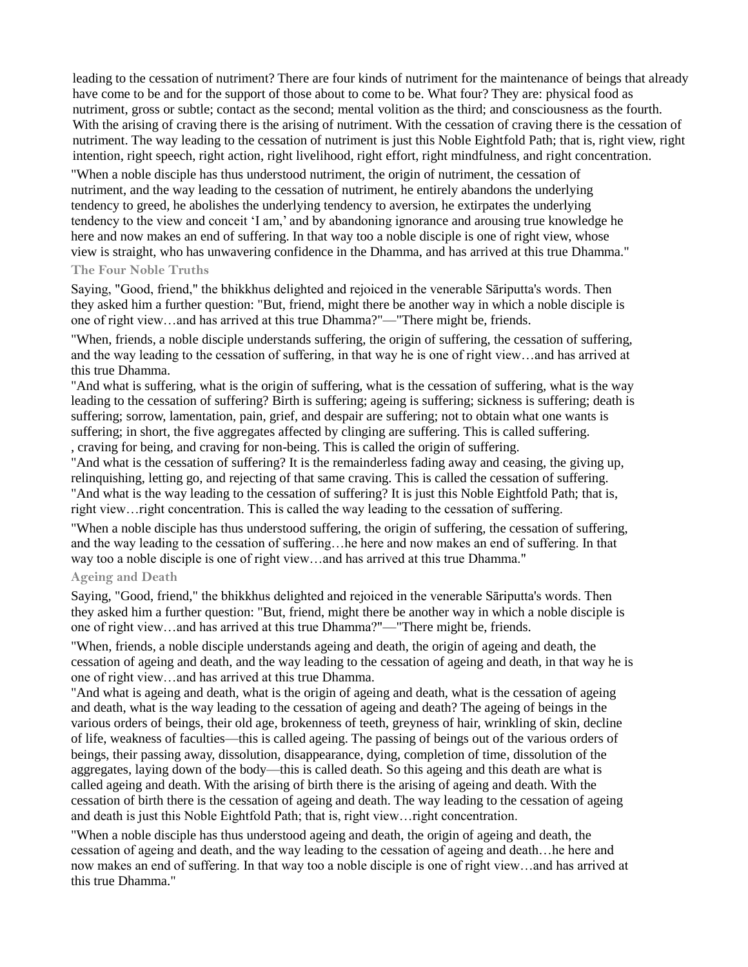leading to the cessation of nutriment? There are four kinds of nutriment for the maintenance of beings that already have come to be and for the support of those about to come to be. What four? They are: physical food as nutriment, gross or subtle; contact as the second; mental volition as the third; and consciousness as the fourth. With the arising of craving there is the arising of nutriment. With the cessation of craving there is the cessation of nutriment. The way leading to the cessation of nutriment is just this Noble Eightfold Path; that is, right view, right intention, right speech, right action, right livelihood, right effort, right mindfulness, and right concentration.

"When a noble disciple has thus understood nutriment, the origin of nutriment, the cessation of nutriment, and the way leading to the cessation of nutriment, he entirely abandons the underlying tendency to greed, he abolishes the underlying tendency to aversion, he extirpates the underlying tendency to the view and conceit 'I am,' and by abandoning ignorance and arousing true knowledge he here and now makes an end of suffering. In that way too a noble disciple is one of right view, whose view is straight, who has unwavering confidence in the Dhamma, and has arrived at this true Dhamma."

# **The Four Noble Truths**

Saying, "Good, friend," the bhikkhus delighted and rejoiced in the venerable Sāriputta's words. Then they asked him a further question: "But, friend, might there be another way in which a noble disciple is one of right view…and has arrived at this true Dhamma?"—"There might be, friends.

"When, friends, a noble disciple understands suffering, the origin of suffering, the cessation of suffering, and the way leading to the cessation of suffering, in that way he is one of right view…and has arrived at this true Dhamma.

"And what is suffering, what is the origin of suffering, what is the cessation of suffering, what is the way leading to the cessation of suffering? Birth is suffering; ageing is suffering; sickness is suffering; death is suffering; sorrow, lamentation, pain, grief, and despair are suffering; not to obtain what one wants is suffering; in short, the five aggregates affected by clinging are suffering. This is called suffering. , craving for being, and craving for non-being. This is called the origin of suffering.

"And what is the cessation of suffering? It is the remainderless fading away and ceasing, the giving up, relinquishing, letting go, and rejecting of that same craving. This is called the cessation of suffering. "And what is the way leading to the cessation of suffering? It is just this Noble Eightfold Path; that is, right view…right concentration. This is called the way leading to the cessation of suffering.

"When a noble disciple has thus understood suffering, the origin of suffering, the cessation of suffering, and the way leading to the cessation of suffering…he here and now makes an end of suffering. In that way too a noble disciple is one of right view…and has arrived at this true Dhamma."

### **Ageing and Death**

Saying, "Good, friend," the bhikkhus delighted and rejoiced in the venerable Sāriputta's words. Then they asked him a further question: "But, friend, might there be another way in which a noble disciple is one of right view…and has arrived at this true Dhamma?"—"There might be, friends.

"When, friends, a noble disciple understands ageing and death, the origin of ageing and death, the cessation of ageing and death, and the way leading to the cessation of ageing and death, in that way he is one of right view…and has arrived at this true Dhamma.

"And what is ageing and death, what is the origin of ageing and death, what is the cessation of ageing and death, what is the way leading to the cessation of ageing and death? The ageing of beings in the various orders of beings, their old age, brokenness of teeth, greyness of hair, wrinkling of skin, decline of life, weakness of faculties—this is called ageing. The passing of beings out of the various orders of beings, their passing away, dissolution, disappearance, dying, completion of time, dissolution of the aggregates, laying down of the body—this is called death. So this ageing and this death are what is called ageing and death. With the arising of birth there is the arising of ageing and death. With the cessation of birth there is the cessation of ageing and death. The way leading to the cessation of ageing and death is just this Noble Eightfold Path; that is, right view…right concentration.

"When a noble disciple has thus understood ageing and death, the origin of ageing and death, the cessation of ageing and death, and the way leading to the cessation of ageing and death…he here and now makes an end of suffering. In that way too a noble disciple is one of right view…and has arrived at this true Dhamma."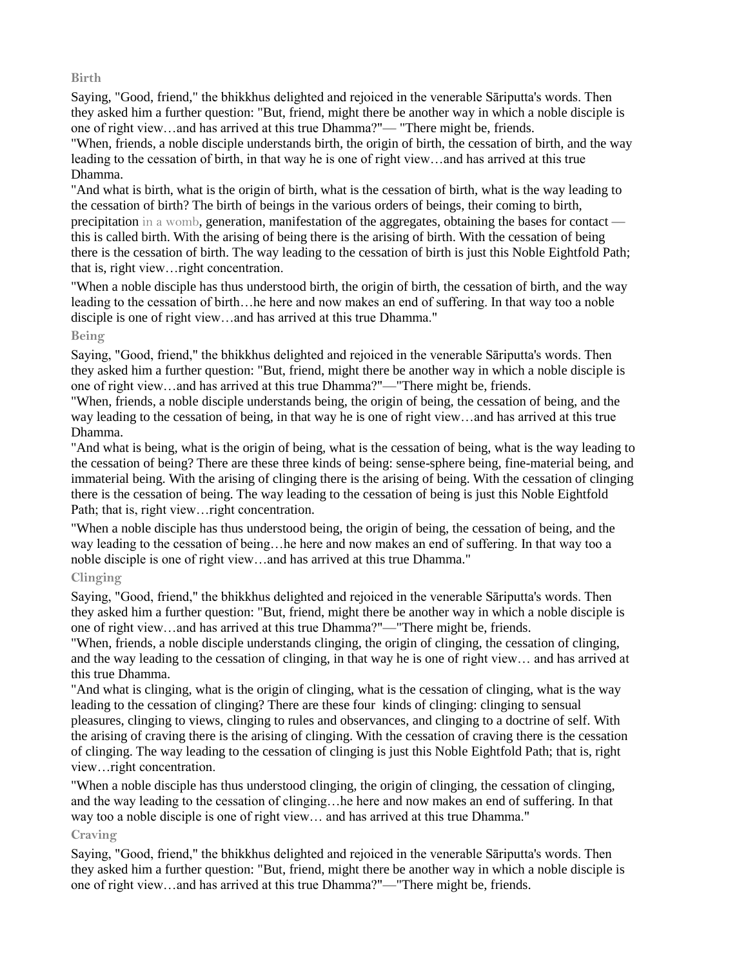## **Birth**

Saying, "Good, friend," the bhikkhus delighted and rejoiced in the venerable Sāriputta's words. Then they asked him a further question: "But, friend, might there be another way in which a noble disciple is one of right view…and has arrived at this true Dhamma?"— "There might be, friends.

"When, friends, a noble disciple understands birth, the origin of birth, the cessation of birth, and the way leading to the cessation of birth, in that way he is one of right view…and has arrived at this true Dhamma.

"And what is birth, what is the origin of birth, what is the cessation of birth, what is the way leading to the cessation of birth? The birth of beings in the various orders of beings, their coming to birth, precipitation in a womb, generation, manifestation of the aggregates, obtaining the bases for contact this is called birth. With the arising of being there is the arising of birth. With the cessation of being there is the cessation of birth. The way leading to the cessation of birth is just this Noble Eightfold Path; that is, right view…right concentration.

"When a noble disciple has thus understood birth, the origin of birth, the cessation of birth, and the way leading to the cessation of birth…he here and now makes an end of suffering. In that way too a noble disciple is one of right view…and has arrived at this true Dhamma."

### **Being**

Saying, "Good, friend," the bhikkhus delighted and rejoiced in the venerable Sāriputta's words. Then they asked him a further question: "But, friend, might there be another way in which a noble disciple is one of right view…and has arrived at this true Dhamma?"—"There might be, friends.

"When, friends, a noble disciple understands being, the origin of being, the cessation of being, and the way leading to the cessation of being, in that way he is one of right view…and has arrived at this true Dhamma.

"And what is being, what is the origin of being, what is the cessation of being, what is the way leading to the cessation of being? There are these three kinds of being: sense-sphere being, fine-material being, and immaterial being. With the arising of clinging there is the arising of being. With the cessation of clinging there is the cessation of being. The way leading to the cessation of being is just this Noble Eightfold Path; that is, right view…right concentration.

"When a noble disciple has thus understood being, the origin of being, the cessation of being, and the way leading to the cessation of being…he here and now makes an end of suffering. In that way too a noble disciple is one of right view…and has arrived at this true Dhamma."

# **Clinging**

Saying, "Good, friend," the bhikkhus delighted and rejoiced in the venerable Sāriputta's words. Then they asked him a further question: "But, friend, might there be another way in which a noble disciple is one of right view…and has arrived at this true Dhamma?"—"There might be, friends.

"When, friends, a noble disciple understands clinging, the origin of clinging, the cessation of clinging, and the way leading to the cessation of clinging, in that way he is one of right view… and has arrived at this true Dhamma.

"And what is clinging, what is the origin of clinging, what is the cessation of clinging, what is the way leading to the cessation of clinging? There are these four kinds of clinging: clinging to sensual pleasures, clinging to views, clinging to rules and observances, and clinging to a doctrine of self. With the arising of craving there is the arising of clinging. With the cessation of craving there is the cessation of clinging. The way leading to the cessation of clinging is just this Noble Eightfold Path; that is, right view…right concentration.

"When a noble disciple has thus understood clinging, the origin of clinging, the cessation of clinging, and the way leading to the cessation of clinging…he here and now makes an end of suffering. In that way too a noble disciple is one of right view… and has arrived at this true Dhamma."

# **Craving**

Saying, "Good, friend," the bhikkhus delighted and rejoiced in the venerable Sāriputta's words. Then they asked him a further question: "But, friend, might there be another way in which a noble disciple is one of right view…and has arrived at this true Dhamma?"—"There might be, friends.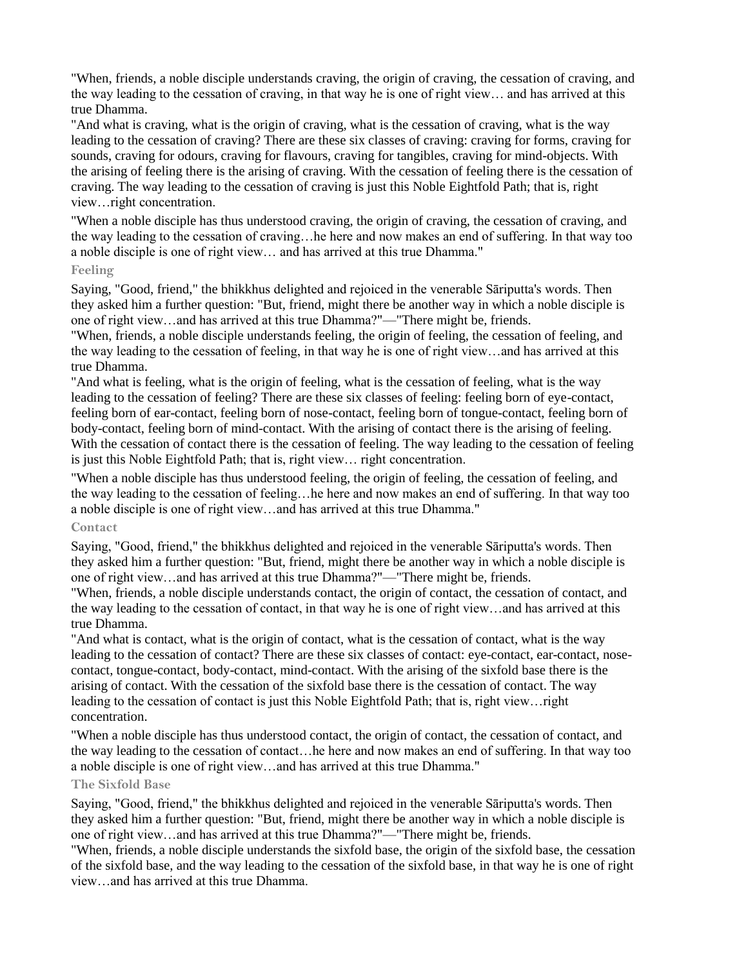"When, friends, a noble disciple understands craving, the origin of craving, the cessation of craving, and the way leading to the cessation of craving, in that way he is one of right view… and has arrived at this true Dhamma.

"And what is craving, what is the origin of craving, what is the cessation of craving, what is the way leading to the cessation of craving? There are these six classes of craving: craving for forms, craving for sounds, craving for odours, craving for flavours, craving for tangibles, craving for mind-objects. With the arising of feeling there is the arising of craving. With the cessation of feeling there is the cessation of craving. The way leading to the cessation of craving is just this Noble Eightfold Path; that is, right view…right concentration.

"When a noble disciple has thus understood craving, the origin of craving, the cessation of craving, and the way leading to the cessation of craving…he here and now makes an end of suffering. In that way too a noble disciple is one of right view… and has arrived at this true Dhamma."

#### **Feeling**

Saying, "Good, friend," the bhikkhus delighted and rejoiced in the venerable Sāriputta's words. Then they asked him a further question: "But, friend, might there be another way in which a noble disciple is one of right view…and has arrived at this true Dhamma?"—"There might be, friends.

"When, friends, a noble disciple understands feeling, the origin of feeling, the cessation of feeling, and the way leading to the cessation of feeling, in that way he is one of right view…and has arrived at this true Dhamma.

"And what is feeling, what is the origin of feeling, what is the cessation of feeling, what is the way leading to the cessation of feeling? There are these six classes of feeling: feeling born of eye-contact, feeling born of ear-contact, feeling born of nose-contact, feeling born of tongue-contact, feeling born of body-contact, feeling born of mind-contact. With the arising of contact there is the arising of feeling. With the cessation of contact there is the cessation of feeling. The way leading to the cessation of feeling is just this Noble Eightfold Path; that is, right view… right concentration.

"When a noble disciple has thus understood feeling, the origin of feeling, the cessation of feeling, and the way leading to the cessation of feeling…he here and now makes an end of suffering. In that way too a noble disciple is one of right view…and has arrived at this true Dhamma."

#### **Contact**

Saying, "Good, friend," the bhikkhus delighted and rejoiced in the venerable Sāriputta's words. Then they asked him a further question: "But, friend, might there be another way in which a noble disciple is one of right view…and has arrived at this true Dhamma?"—"There might be, friends.

"When, friends, a noble disciple understands contact, the origin of contact, the cessation of contact, and the way leading to the cessation of contact, in that way he is one of right view…and has arrived at this true Dhamma.

"And what is contact, what is the origin of contact, what is the cessation of contact, what is the way leading to the cessation of contact? There are these six classes of contact: eye-contact, ear-contact, nosecontact, tongue-contact, body-contact, mind-contact. With the arising of the sixfold base there is the arising of contact. With the cessation of the sixfold base there is the cessation of contact. The way leading to the cessation of contact is just this Noble Eightfold Path; that is, right view…right concentration.

"When a noble disciple has thus understood contact, the origin of contact, the cessation of contact, and the way leading to the cessation of contact…he here and now makes an end of suffering. In that way too a noble disciple is one of right view…and has arrived at this true Dhamma."

#### **The Sixfold Base**

Saying, "Good, friend," the bhikkhus delighted and rejoiced in the venerable Sāriputta's words. Then they asked him a further question: "But, friend, might there be another way in which a noble disciple is one of right view…and has arrived at this true Dhamma?"—"There might be, friends.

"When, friends, a noble disciple understands the sixfold base, the origin of the sixfold base, the cessation of the sixfold base, and the way leading to the cessation of the sixfold base, in that way he is one of right view…and has arrived at this true Dhamma.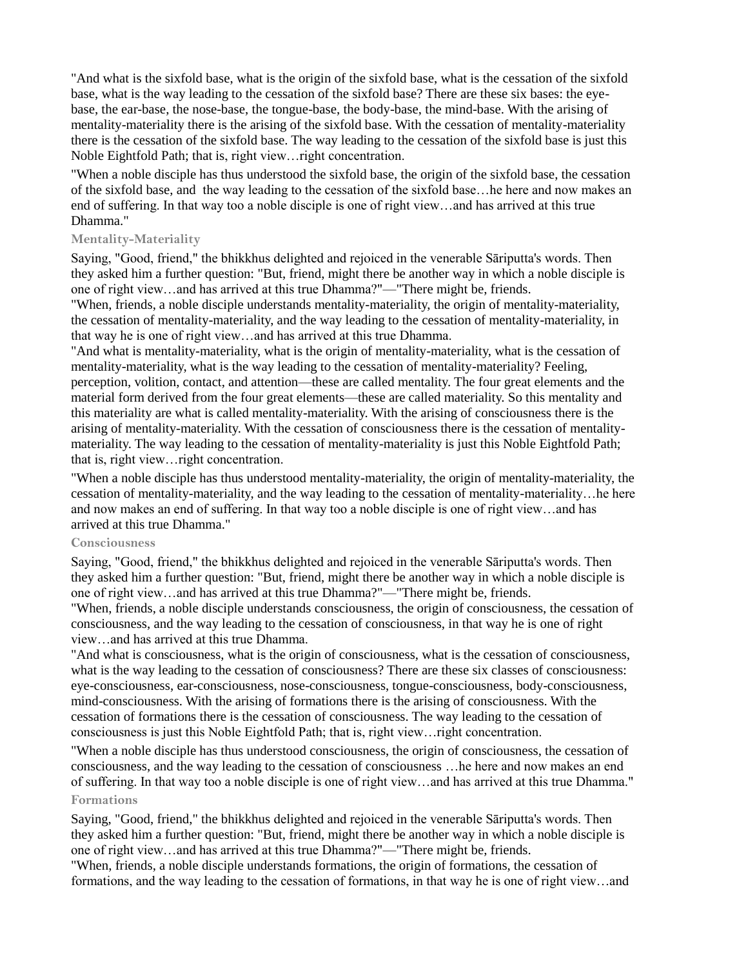"And what is the sixfold base, what is the origin of the sixfold base, what is the cessation of the sixfold base, what is the way leading to the cessation of the sixfold base? There are these six bases: the eyebase, the ear-base, the nose-base, the tongue-base, the body-base, the mind-base. With the arising of mentality-materiality there is the arising of the sixfold base. With the cessation of mentality-materiality there is the cessation of the sixfold base. The way leading to the cessation of the sixfold base is just this Noble Eightfold Path; that is, right view…right concentration.

"When a noble disciple has thus understood the sixfold base, the origin of the sixfold base, the cessation of the sixfold base, and the way leading to the cessation of the sixfold base…he here and now makes an end of suffering. In that way too a noble disciple is one of right view…and has arrived at this true Dhamma."

#### **Mentality-Materiality**

Saying, "Good, friend," the bhikkhus delighted and rejoiced in the venerable Sāriputta's words. Then they asked him a further question: "But, friend, might there be another way in which a noble disciple is one of right view…and has arrived at this true Dhamma?"—"There might be, friends.

"When, friends, a noble disciple understands mentality-materiality, the origin of mentality-materiality, the cessation of mentality-materiality, and the way leading to the cessation of mentality-materiality, in that way he is one of right view…and has arrived at this true Dhamma.

"And what is mentality-materiality, what is the origin of mentality-materiality, what is the cessation of mentality-materiality, what is the way leading to the cessation of mentality-materiality? Feeling, perception, volition, contact, and attention—these are called mentality. The four great elements and the material form derived from the four great elements—these are called materiality. So this mentality and this materiality are what is called mentality-materiality. With the arising of consciousness there is the arising of mentality-materiality. With the cessation of consciousness there is the cessation of mentalitymateriality. The way leading to the cessation of mentality-materiality is just this Noble Eightfold Path; that is, right view…right concentration.

"When a noble disciple has thus understood mentality-materiality, the origin of mentality-materiality, the cessation of mentality-materiality, and the way leading to the cessation of mentality-materiality…he here and now makes an end of suffering. In that way too a noble disciple is one of right view…and has arrived at this true Dhamma."

#### **Consciousness**

Saying, "Good, friend," the bhikkhus delighted and rejoiced in the venerable Sāriputta's words. Then they asked him a further question: "But, friend, might there be another way in which a noble disciple is one of right view…and has arrived at this true Dhamma?"—"There might be, friends.

"When, friends, a noble disciple understands consciousness, the origin of consciousness, the cessation of consciousness, and the way leading to the cessation of consciousness, in that way he is one of right view…and has arrived at this true Dhamma.

"And what is consciousness, what is the origin of consciousness, what is the cessation of consciousness, what is the way leading to the cessation of consciousness? There are these six classes of consciousness: eye-consciousness, ear-consciousness, nose-consciousness, tongue-consciousness, body-consciousness, mind-consciousness. With the arising of formations there is the arising of consciousness. With the cessation of formations there is the cessation of consciousness. The way leading to the cessation of consciousness is just this Noble Eightfold Path; that is, right view…right concentration.

"When a noble disciple has thus understood consciousness, the origin of consciousness, the cessation of consciousness, and the way leading to the cessation of consciousness …he here and now makes an end of suffering. In that way too a noble disciple is one of right view…and has arrived at this true Dhamma." **Formations**

Saying, "Good, friend," the bhikkhus delighted and rejoiced in the venerable Sāriputta's words. Then they asked him a further question: "But, friend, might there be another way in which a noble disciple is one of right view…and has arrived at this true Dhamma?"—"There might be, friends.

"When, friends, a noble disciple understands formations, the origin of formations, the cessation of formations, and the way leading to the cessation of formations, in that way he is one of right view…and